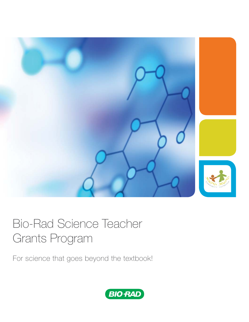

# Bio-Rad Science Teacher Grants Program

For science that goes beyond the textbook!

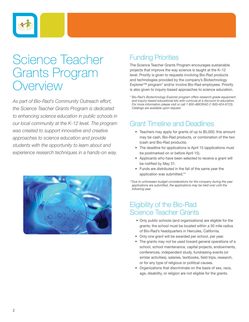

## Science Teacher Grants Program Overview

*As part of Bio-Rad's Community Outreach effort, the Science Teacher Grants Program is dedicated to enhancing science education in public schools in our local community at the K-12 level. The program was created to support innovative and creative approaches to science education and provide students with the opportunity to learn about and experience research techniques in a hands-on way.* 



## Funding Priorities

The Science Teacher Grants Program encourages sustainable projects that improve the way science is taught at the K–12 level. Priority is given to requests involving Bio-Rad products and technologies provided by the company's Biotechnology Explorer™ program\* and/or involve Bio-Rad employees. Priority is also given to inquiry-based approaches to science education.

*\* Bio-Rad's Biotechnology Explorer program offers research-grade equipment and inquiry-based educational kits with curricula at a discount to educators. For more information please visit or call 1 800-4BIORAD (1 800-424-6723). Catalogs are available upon request.*

## Grant Timeline and Deadlines

- Teachers may apply for grants of up to \$5,000; this amount may be cash, Bio-Rad products, or combination of the two (cash and Bio-Rad products).
- The deadline for applications is April 15 (applications must be postmarked on or before April 15).
- Applicants who have been selected to receive a grant will be notified by May 31.
- Funds are distributed in the fall of the same year the application was submitted.\*\*

*\*\*Due to unforeseen budget considerations for the company during the year applications are submitted, the applications may be held over until the following year.*

## Eligibility of the Bio-Rad Science Teacher Grants

- Only public schools (and organizations) are eligible for the grants; the school must be located within a 50 mile radius of Bio-Rad's headquarters in Hercules, California.
- Only one grant will be awarded per school, per year.
- The grants may *not* be used toward general operations of a school, school maintenance, capital projects, endowments, conferences, independent study, fundraising events (or similar activities), salaries, textbooks, field trips, research, or for any type of religious or political causes.
- Organizations that discriminate on the basis of sex, race, age, disability, or religion are not eligible for the grants.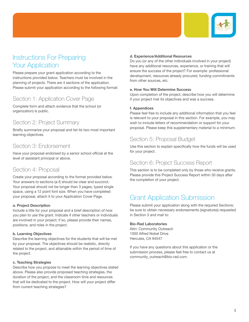

## Instructions For Preparing **Your Application**

Please prepare your grant application according to the instructions provided below. Teachers must be involved in the planning of projects. There are 4 sections of the application. Please submit your application according to the following format:

## Section 1: Application Cover Page

Complete form and attach evidence that the school (or organization) is public.

### Section 2: Project Summary

Briefly summarize your proposal and list its two most important learning objectives.

### Section 3: Endorsement

Have your proposal endorsed by a senior school official at the level of assistant principal or above.

## Section 4: Proposal

Create your proposal according to the format provided below. Your answers to sections (a-f) should be clear and succinct. Your proposal should not be longer than 3 pages, typed single space, using a 12 point font size. When you have completed your proposal, attach it to your Application Cover Page.

#### **a. Project Description**

Include a title for your proposal and a brief description of how you plan to use the grant. Indicate if other teachers or individuals are involved in your project; if so, please provide their names, positions, and roles in the project.

#### **b. Learning Objectives**

Describe the learning objectives for the students that will be met by your proposal. The objectives should be realistic, directly related to the project, and attainable within the period of time of the project.

#### **c. Teaching Strategies**

Describe how you propose to meet the learning objectives stated above. Please also provide proposed teaching strategies, the duration of the project, and the classroom time and resources that will be dedicated to the project. How will your project differ from current teaching strategies?

### **d. Experience/Additional Resources**

Do you (or any of the other individuals involved in your project) have any additional resources, experience, or training that will ensure the success of the project? For example: professional development, resources already procured, funding commitments from other sources, etc.

### **e. How You Will Determine Success**

Upon completion of the project, describe how you will determine if your project met its objectives and was a success.

#### **f. Appendices**

Please feel free to include any additional information that you feel is relevant to your proposal in this section. For example, you may wish to include letters of recommendation or support for your proposal. Please keep this supplementary material to a minimum.

## Section 5: Proposal Budget

Use this section to explain specifically how the funds will be used for your project.

### Section 6: Project Success Report

This section is to be completed only by those who receive grants. Please provide this Project Success Report within 30 days after the completion of your project.

## Grant Application Submission

Please submit your application along with the required Sections; be sure to obtain necessary endorsements (signatures) requested in Section 3 and mail to:

### **Bio-Rad Laboratories**

Attn: Community Outreach 1000 Alfred Nobel Drive Hercules, CA 94547

If you have any questions about this application or the submission process, please feel free to contact us at community\_outreach@bio-rad.com.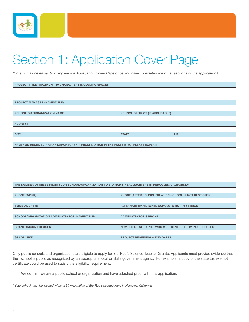

# Section 1: Application Cover Page

*(Note: it may be easier to complete the Application Cover Page once you have completed the other sections of the application.)*

| PROJECT TITLE (MAXIMUM 140 CHARACTERS INCLUDING SPACES)                                              |                                                       |            |  |  |
|------------------------------------------------------------------------------------------------------|-------------------------------------------------------|------------|--|--|
|                                                                                                      |                                                       |            |  |  |
|                                                                                                      |                                                       |            |  |  |
| <b>PROJECT MANAGER (NAME/TITLE)</b>                                                                  |                                                       |            |  |  |
|                                                                                                      |                                                       |            |  |  |
| <b>SCHOOL OR ORGANIZATION NAME</b>                                                                   | <b>SCHOOL DISTRICT (IF APPLICABLE)</b>                |            |  |  |
|                                                                                                      |                                                       |            |  |  |
| <b>ADDRESS</b>                                                                                       |                                                       |            |  |  |
|                                                                                                      |                                                       |            |  |  |
| <b>CITY</b>                                                                                          | <b>STATE</b>                                          | <b>ZIP</b> |  |  |
|                                                                                                      |                                                       |            |  |  |
| HAVE YOU RECEIVED A GRANT/SPONSORSHIP FROM BIO-RAD IN THE PAST? IF SO, PLEASE EXPLAIN.               |                                                       |            |  |  |
|                                                                                                      |                                                       |            |  |  |
|                                                                                                      |                                                       |            |  |  |
|                                                                                                      |                                                       |            |  |  |
|                                                                                                      |                                                       |            |  |  |
|                                                                                                      |                                                       |            |  |  |
|                                                                                                      |                                                       |            |  |  |
|                                                                                                      |                                                       |            |  |  |
| THE NUMBER OF MILES FROM YOUR SCHOOL/ORGANIZATION TO BIO-RAD'S HEADQUARTERS IN HERCULES, CALIFORNIA* |                                                       |            |  |  |
| <b>PHONE (WORK)</b>                                                                                  | PHONE (AFTER SCHOOL OR WHEN SCHOOL IS NOT IN SESSION) |            |  |  |
|                                                                                                      |                                                       |            |  |  |
| <b>EMAIL ADDRESS</b>                                                                                 | ALTERNATE EMAIL (WHEN SCHOOL IS NOT IN SESSION)       |            |  |  |
|                                                                                                      |                                                       |            |  |  |
| SCHOOL/ORGANIZATION ADMINISTRATOR (NAME/TITLE)                                                       | <b>ADMINISTRATOR'S PHONE</b>                          |            |  |  |
|                                                                                                      |                                                       |            |  |  |
| <b>GRANT AMOUNT REQUESTED</b>                                                                        | NUMBER OF STUDENTS WHO WILL BENEFIT FROM YOUR PROJECT |            |  |  |
|                                                                                                      |                                                       |            |  |  |
| <b>GRADE LEVEL</b>                                                                                   | <b>PROJECT BEGINNING &amp; END DATES</b>              |            |  |  |
|                                                                                                      |                                                       |            |  |  |

Only public schools and organizations are eligible to apply for Bio-Rad's Science Teacher Grants. Applicants must provide evidence that their school is public as recognized by an appropriate local or state government agency. For example, a copy of the state tax exempt certificate could be used to satisfy the eligibility requirement.

We confirm we are a public school or organization and have attached proof with this application.

*\* Your school must be located within a 50 mile radius of Bio-Rad's headquarters in Hercules, California.* 

ـا<br>ا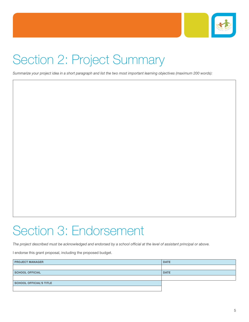

# Section 2: Project Summary

*Summarize your project idea in a short paragraph and list the two most important learning objectives (maximum 200 words):*

Section 3: Endorsement

#### The project described must be acknowledged and endorsed by a school official at the level of assistant principal or above.

I endorse this grant proposal, including the proposed budget.

| <b>PROJECT MANAGER</b>         | <b>DATE</b> |
|--------------------------------|-------------|
|                                |             |
| <b>SCHOOL OFFICIAL</b>         | <b>DATE</b> |
|                                |             |
| <b>SCHOOL OFFICIAL'S TITLE</b> |             |
|                                |             |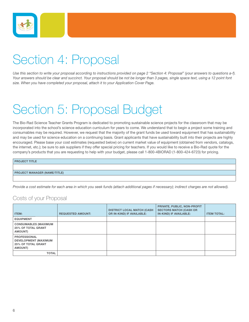

# Section 4: Proposal

*Use this section to write your proposal according to instructions provided on page 2 "Section 4: Proposal" (your answers to questions a-f). Your answers should be clear and succinct. Your proposal should be not be longer than 3 pages, single space text, using a 12 point font size. When you have completed your proposal, attach it to your Application Cover Page.*

# Section 5: Proposal Budget

The Bio-Rad Science Teacher Grants Program is dedicated to promoting sustainable science projects for the classroom that may be incorporated into the school's science education curriculum for years to come. We understand that to begin a project some training and consumables may be required. However, we request that the majority of the grant funds be used toward equipment that has sustainability and may be used for science education on a continuing basis. Grant applicants that have sustainability built into their projects are highly encouraged. Please base your cost estimates (requested below) on current market value of equipment (obtained from vendors, catalogs, the internet, etc.); be sure to ask suppliers if they offer special pricing for teachers. If you would like to receive a Bio-Rad quote for the company's products that you are requesting to help with your budget, please call 1-800-4BIORAD (1-800-424-6723) for pricing.

#### **PROJECT TITLE**

**PROJECT MANAGER (NAME/TITLE)** 

*Provide a cost estimate for each area in which you seek funds (attach additional pages if necessary); indirect charges are not allowed).*

### Costs of your Proposal

| ITEM:                                                                                             | <b>REQUESTED AMOUNT:</b> | <b>DISTRICT LOCAL MATCH (CASH)</b><br>OR IN-KIND) IF AVAILABLE: | PRIVATE, PUBLIC, NON-PROFIT<br><b>SECTORS MATCH (CASH OR</b><br>IN-KIND) IF AVAILABLE: | <b>ITEM TOTAL:</b> |
|---------------------------------------------------------------------------------------------------|--------------------------|-----------------------------------------------------------------|----------------------------------------------------------------------------------------|--------------------|
| <b>EQUIPMENT</b>                                                                                  |                          |                                                                 |                                                                                        |                    |
| <b>CONSUMABLES (MAXIMUM</b><br><b>25% OF TOTAL GRANT</b><br><b>AMOUNT)</b>                        |                          |                                                                 |                                                                                        |                    |
| <b>PROFESSIONAL</b><br><b>DEVELOPMENT (MAXIMUM</b><br><b>25% OF TOTAL GRANT</b><br><b>AMOUNT)</b> |                          |                                                                 |                                                                                        |                    |
| <b>TOTAL</b>                                                                                      |                          |                                                                 |                                                                                        |                    |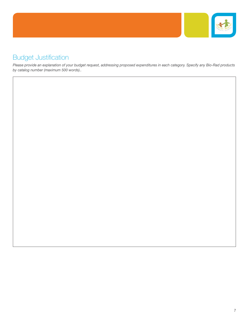

## **Budget Justification**

*Please provide an explanation of your budget request, addressing proposed expenditures in each category. Specify any Bio-Rad products by catalog number (maximum 500 words)..*